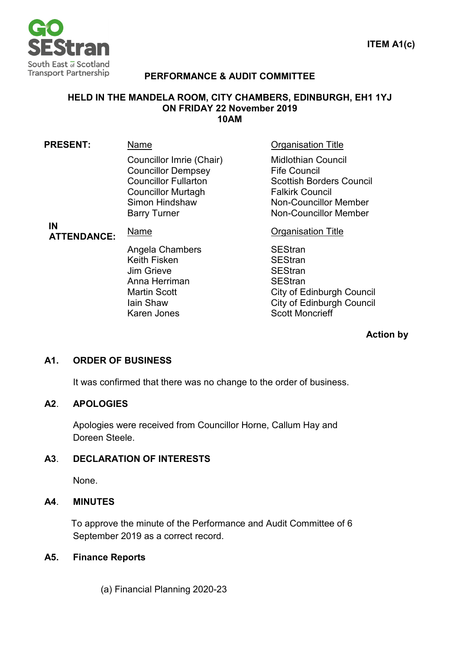

### **PERFORMANCE & AUDIT COMMITTEE**

#### **HELD IN THE MANDELA ROOM, CITY CHAMBERS, EDINBURGH, EH1 1YJ ON FRIDAY 22 November 2019 10AM**

| <b>PRESENT:</b>          | Name                                                                                                                                                       | <b>Organisation Title</b>                                                                                                                                                     |
|--------------------------|------------------------------------------------------------------------------------------------------------------------------------------------------------|-------------------------------------------------------------------------------------------------------------------------------------------------------------------------------|
|                          | Councillor Imrie (Chair)<br><b>Councillor Dempsey</b><br><b>Councillor Fullarton</b><br><b>Councillor Murtagh</b><br>Simon Hindshaw<br><b>Barry Turner</b> | <b>Midlothian Council</b><br><b>Fife Council</b><br><b>Scottish Borders Council</b><br><b>Falkirk Council</b><br><b>Non-Councillor Member</b><br><b>Non-Councillor Member</b> |
| IN<br><b>ATTENDANCE:</b> | Name                                                                                                                                                       | <b>Organisation Title</b>                                                                                                                                                     |
|                          | Angela Chambers<br>Keith Fisken<br><b>Jim Grieve</b><br>Anna Herriman<br><b>Martin Scott</b><br>lain Shaw<br><b>Karen Jones</b>                            | <b>SEStran</b><br><b>SEStran</b><br><b>SEStran</b><br><b>SEStran</b><br><b>City of Edinburgh Council</b><br><b>City of Edinburgh Council</b><br><b>Scott Moncrieff</b>        |

### **Action by**

### **A1. ORDER OF BUSINESS**

It was confirmed that there was no change to the order of business.

#### **A2**. **APOLOGIES**

Apologies were received from Councillor Horne, Callum Hay and Doreen Steele.

### **A3**. **DECLARATION OF INTERESTS**

None.

#### **A4**. **MINUTES**

To approve the minute of the Performance and Audit Committee of 6 September 2019 as a correct record.

#### **A5. Finance Reports**

(a) Financial Planning 2020-23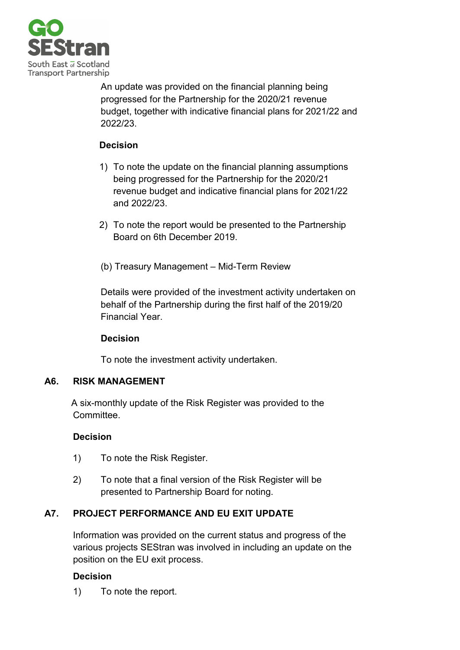

An update was provided on the financial planning being progressed for the Partnership for the 2020/21 revenue budget, together with indicative financial plans for 2021/22 and 2022/23.

## **Decision**

- 1) To note the update on the financial planning assumptions being progressed for the Partnership for the 2020/21 revenue budget and indicative financial plans for 2021/22 and 2022/23.
- 2) To note the report would be presented to the Partnership Board on 6th December 2019.
- (b) Treasury Management Mid-Term Review

Details were provided of the investment activity undertaken on behalf of the Partnership during the first half of the 2019/20 Financial Year.

## **Decision**

To note the investment activity undertaken.

## **A6. RISK MANAGEMENT**

A six-monthly update of the Risk Register was provided to the Committee.

## **Decision**

- 1) To note the Risk Register.
- 2) To note that a final version of the Risk Register will be presented to Partnership Board for noting.

# **A7. PROJECT PERFORMANCE AND EU EXIT UPDATE**

Information was provided on the current status and progress of the various projects SEStran was involved in including an update on the position on the EU exit process.

## **Decision**

1) To note the report.